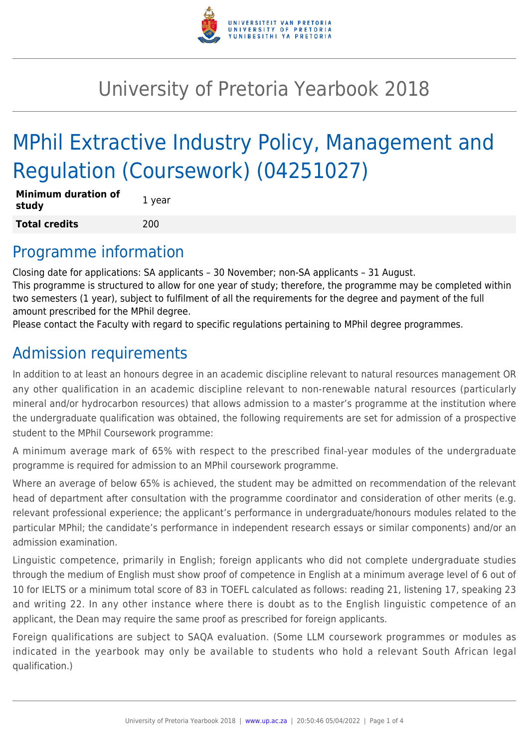

## University of Pretoria Yearbook 2018

# MPhil Extractive Industry Policy, Management and Regulation (Coursework) (04251027)

| <b>Minimum duration of</b><br>study | 1 year |
|-------------------------------------|--------|
| <b>Total credits</b>                | 200    |

#### Programme information

Closing date for applications: SA applicants – 30 November; non-SA applicants – 31 August. This programme is structured to allow for one year of study; therefore, the programme may be completed within two semesters (1 year), subject to fulfilment of all the requirements for the degree and payment of the full amount prescribed for the MPhil degree.

Please contact the Faculty with regard to specific regulations pertaining to MPhil degree programmes.

## Admission requirements

In addition to at least an honours degree in an academic discipline relevant to natural resources management OR any other qualification in an academic discipline relevant to non-renewable natural resources (particularly mineral and/or hydrocarbon resources) that allows admission to a master's programme at the institution where the undergraduate qualification was obtained, the following requirements are set for admission of a prospective student to the MPhil Coursework programme:

A minimum average mark of 65% with respect to the prescribed final-year modules of the undergraduate programme is required for admission to an MPhil coursework programme.

Where an average of below 65% is achieved, the student may be admitted on recommendation of the relevant head of department after consultation with the programme coordinator and consideration of other merits (e.g. relevant professional experience; the applicant's performance in undergraduate/honours modules related to the particular MPhil; the candidate's performance in independent research essays or similar components) and/or an admission examination.

Linguistic competence, primarily in English; foreign applicants who did not complete undergraduate studies through the medium of English must show proof of competence in English at a minimum average level of 6 out of 10 for IELTS or a minimum total score of 83 in TOEFL calculated as follows: reading 21, listening 17, speaking 23 and writing 22. In any other instance where there is doubt as to the English linguistic competence of an applicant, the Dean may require the same proof as prescribed for foreign applicants.

Foreign qualifications are subject to SAQA evaluation. (Some LLM coursework programmes or modules as indicated in the yearbook may only be available to students who hold a relevant South African legal qualification.)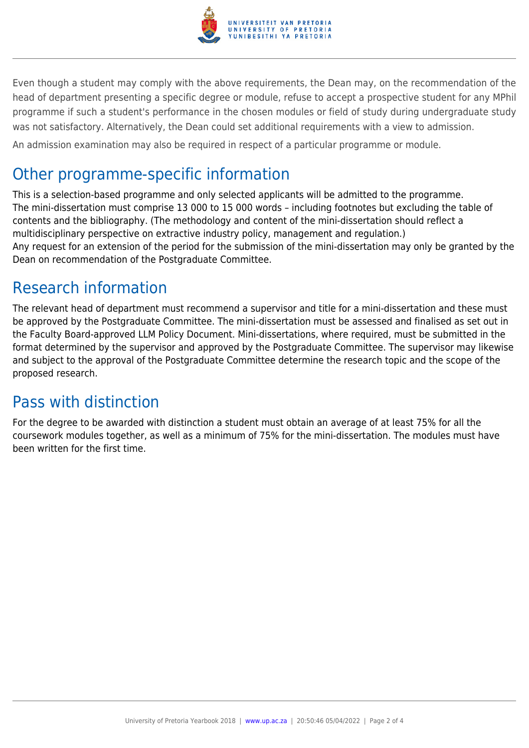

Even though a student may comply with the above requirements, the Dean may, on the recommendation of the head of department presenting a specific degree or module, refuse to accept a prospective student for any MPhil programme if such a student's performance in the chosen modules or field of study during undergraduate study was not satisfactory. Alternatively, the Dean could set additional requirements with a view to admission.

An admission examination may also be required in respect of a particular programme or module.

### Other programme-specific information

This is a selection-based programme and only selected applicants will be admitted to the programme. The mini-dissertation must comprise 13 000 to 15 000 words – including footnotes but excluding the table of contents and the bibliography. (The methodology and content of the mini-dissertation should reflect a multidisciplinary perspective on extractive industry policy, management and regulation.) Any request for an extension of the period for the submission of the mini-dissertation may only be granted by the Dean on recommendation of the Postgraduate Committee.

## Research information

The relevant head of department must recommend a supervisor and title for a mini-dissertation and these must be approved by the Postgraduate Committee. The mini-dissertation must be assessed and finalised as set out in the Faculty Board-approved LLM Policy Document. Mini-dissertations, where required, must be submitted in the format determined by the supervisor and approved by the Postgraduate Committee. The supervisor may likewise and subject to the approval of the Postgraduate Committee determine the research topic and the scope of the proposed research.

### Pass with distinction

For the degree to be awarded with distinction a student must obtain an average of at least 75% for all the coursework modules together, as well as a minimum of 75% for the mini-dissertation. The modules must have been written for the first time.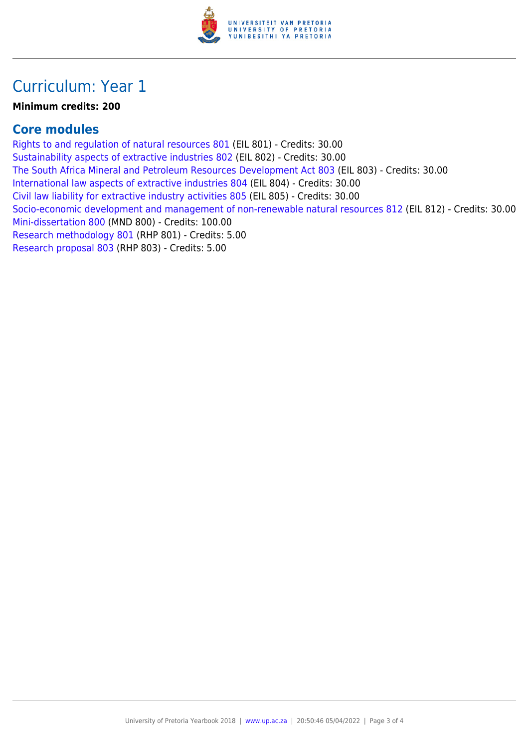

#### Curriculum: Year 1

#### **Minimum credits: 200**

#### **Core modules**

[Rights to and regulation of natural resources 801](https://www.up.ac.za/yearbooks/2018/modules/view/EIL 801) (EIL 801) - Credits: 30.00 [Sustainability aspects of extractive industries 802](https://www.up.ac.za/yearbooks/2018/modules/view/EIL 802) (EIL 802) - Credits: 30.00 [The South Africa Mineral and Petroleum Resources Development Act 803](https://www.up.ac.za/yearbooks/2018/modules/view/EIL 803) (EIL 803) - Credits: 30.00 [International law aspects of extractive industries 804](https://www.up.ac.za/yearbooks/2018/modules/view/EIL 804) (EIL 804) - Credits: 30.00 [Civil law liability for extractive industry activities 805](https://www.up.ac.za/yearbooks/2018/modules/view/EIL 805) (EIL 805) - Credits: 30.00 [Socio-economic development and management of non-renewable natural resources 812](https://www.up.ac.za/yearbooks/2018/modules/view/EIL 812) (EIL 812) - Credits: 30.00 [Mini-dissertation 800](https://www.up.ac.za/yearbooks/2018/modules/view/MND 800) (MND 800) - Credits: 100.00 [Research methodology 801](https://www.up.ac.za/yearbooks/2018/modules/view/RHP 801) (RHP 801) - Credits: 5.00 [Research proposal 803](https://www.up.ac.za/yearbooks/2018/modules/view/RHP 803) (RHP 803) - Credits: 5.00